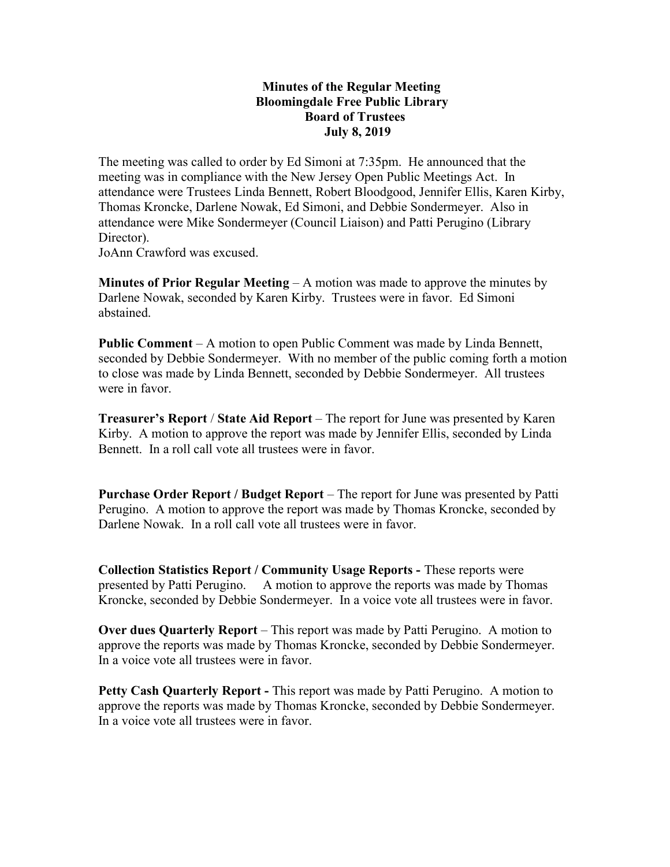## Minutes of the Regular Meeting Bloomingdale Free Public Library Board of Trustees July 8, 2019

The meeting was called to order by Ed Simoni at 7:35pm. He announced that the meeting was in compliance with the New Jersey Open Public Meetings Act. In attendance were Trustees Linda Bennett, Robert Bloodgood, Jennifer Ellis, Karen Kirby, Thomas Kroncke, Darlene Nowak, Ed Simoni, and Debbie Sondermeyer. Also in attendance were Mike Sondermeyer (Council Liaison) and Patti Perugino (Library Director).

JoAnn Crawford was excused.

**Minutes of Prior Regular Meeting**  $- A$  motion was made to approve the minutes by Darlene Nowak, seconded by Karen Kirby. Trustees were in favor. Ed Simoni abstained.

Public Comment – A motion to open Public Comment was made by Linda Bennett, seconded by Debbie Sondermeyer. With no member of the public coming forth a motion to close was made by Linda Bennett, seconded by Debbie Sondermeyer. All trustees were in favor.

Treasurer's Report / State Aid Report – The report for June was presented by Karen Kirby. A motion to approve the report was made by Jennifer Ellis, seconded by Linda Bennett. In a roll call vote all trustees were in favor.

Purchase Order Report / Budget Report – The report for June was presented by Patti Perugino. A motion to approve the report was made by Thomas Kroncke, seconded by Darlene Nowak. In a roll call vote all trustees were in favor.

Collection Statistics Report / Community Usage Reports - These reports were presented by Patti Perugino. A motion to approve the reports was made by Thomas Kroncke, seconded by Debbie Sondermeyer. In a voice vote all trustees were in favor.

Over dues Quarterly Report – This report was made by Patti Perugino. A motion to approve the reports was made by Thomas Kroncke, seconded by Debbie Sondermeyer. In a voice vote all trustees were in favor.

Petty Cash Quarterly Report - This report was made by Patti Perugino. A motion to approve the reports was made by Thomas Kroncke, seconded by Debbie Sondermeyer. In a voice vote all trustees were in favor.